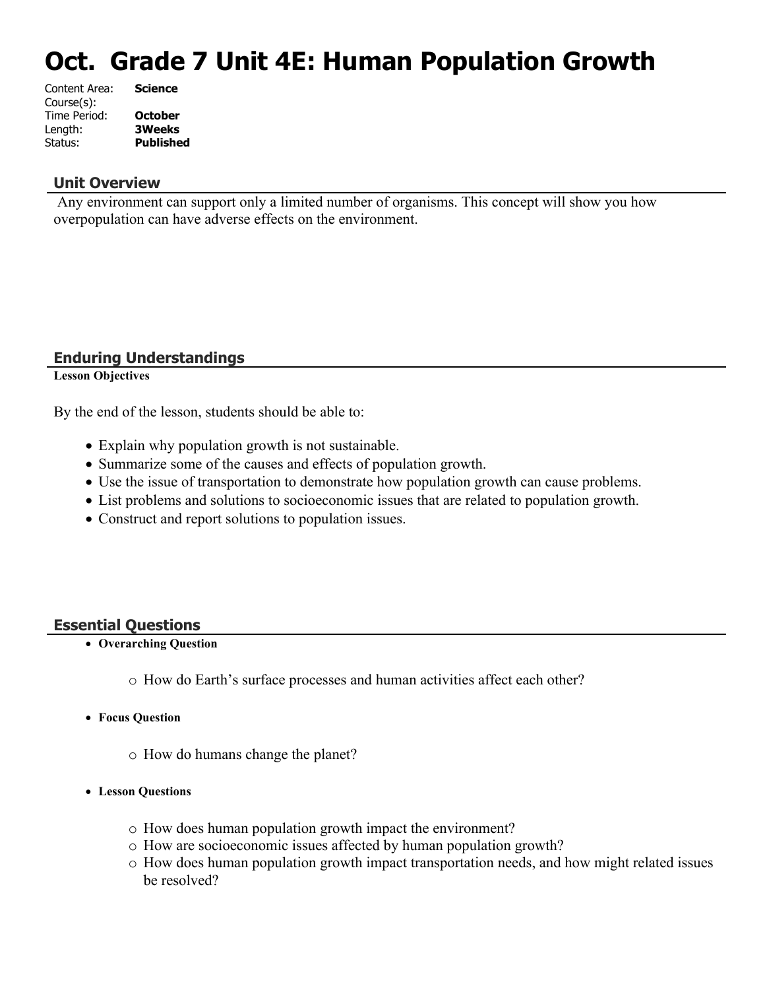# **Oct. Grade 7 Unit 4E: Human Population Growth**

| Content Area: | <b>Science</b>   |
|---------------|------------------|
| Course(s):    |                  |
| Time Period:  | <b>October</b>   |
| Length:       | <b>3Weeks</b>    |
| Status:       | <b>Published</b> |
|               |                  |

#### **Unit Overview**

 Any environment can support only a limited number of organisms. This concept will show you how overpopulation can have adverse effects on the environment.

#### **Enduring Understandings**

#### **Lesson Objectives**

By the end of the lesson, students should be able to:

- Explain why population growth is not sustainable.
- Summarize some of the causes and effects of population growth.
- Use the issue of transportation to demonstrate how population growth can cause problems.
- List problems and solutions to socioeconomic issues that are related to population growth.
- Construct and report solutions to population issues.

#### **Essential Questions**

- **Overarching Question**
	- o How do Earth's surface processes and human activities affect each other?
- **Focus Question**
	- o How do humans change the planet?
- **Lesson Questions**
	- o How does human population growth impact the environment?
	- o How are socioeconomic issues affected by human population growth?
	- o How does human population growth impact transportation needs, and how might related issues be resolved?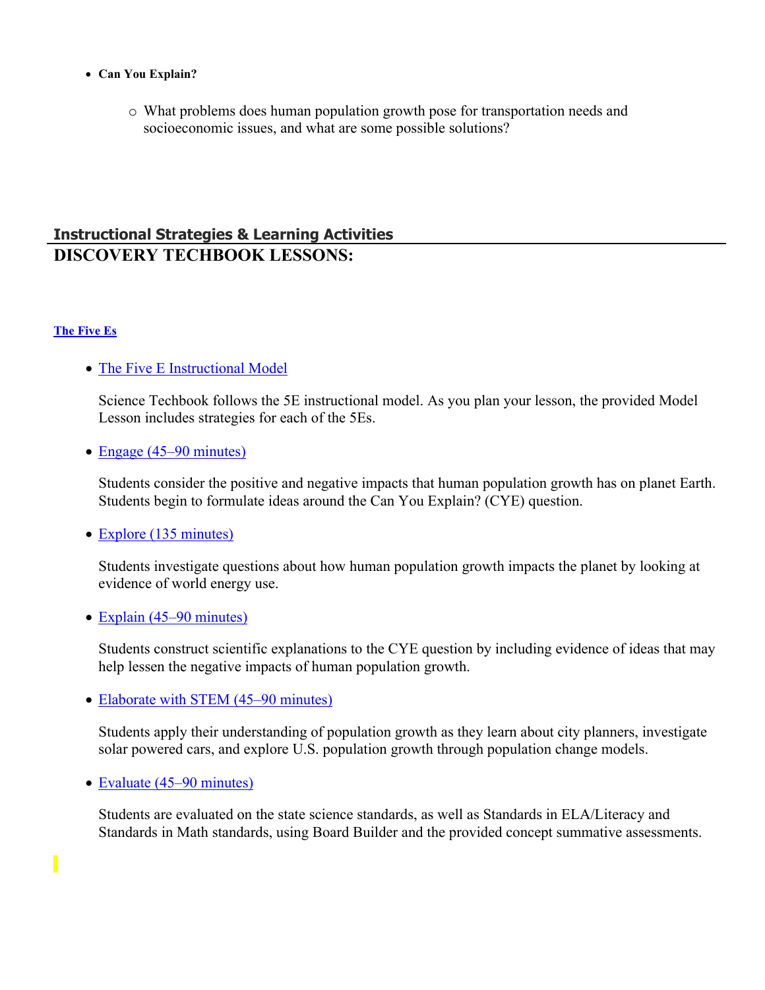- **Can You Explain?**
	- o What problems does human population growth pose for transportation needs and socioeconomic issues, and what are some possible solutions?

# **Instructional Strategies & Learning Activities DISCOVERY TECHBOOK LESSONS:**

#### **[The Five Es](https://app.discoveryeducation.com/learn/techbook/units/e82b02d7-bf5b-4915-ac4e-15a18765a628/concepts/a9107508-71ad-48a6-8d6e-47aa830effef/lesson/sections/56f3022c-32bc-49ae-8e04-a3e75da2570f)**

• [The Five E Instructional Model](https://app.discoveryeducation.com/learn/techbook/units/e82b02d7-bf5b-4915-ac4e-15a18765a628/concepts/a9107508-71ad-48a6-8d6e-47aa830effef/lesson/sections/56f3022c-32bc-49ae-8e04-a3e75da2570f#800cf1f1-c5c3-4444-9da3-1a9b640fb273)

Science Techbook follows the 5E instructional model. As you plan your lesson, the provided Model Lesson includes strategies for each of the 5Es.

• [Engage \(45–90 minutes\)](https://app.discoveryeducation.com/learn/techbook/units/e82b02d7-bf5b-4915-ac4e-15a18765a628/concepts/a9107508-71ad-48a6-8d6e-47aa830effef/lesson/sections/56f3022c-32bc-49ae-8e04-a3e75da2570f#ae8bc4ca-a173-40b4-bcc3-df4d13c0940c)

Students consider the positive and negative impacts that human population growth has on planet Earth. Students begin to formulate ideas around the Can You Explain? (CYE) question.

• [Explore \(135 minutes\)](https://app.discoveryeducation.com/learn/techbook/units/e82b02d7-bf5b-4915-ac4e-15a18765a628/concepts/a9107508-71ad-48a6-8d6e-47aa830effef/lesson/sections/56f3022c-32bc-49ae-8e04-a3e75da2570f#ed89a139-5849-4598-a791-20deb06f41b2)

Students investigate questions about how human population growth impacts the planet by looking at evidence of world energy use.

#### • [Explain \(45–90 minutes\)](https://app.discoveryeducation.com/learn/techbook/units/e82b02d7-bf5b-4915-ac4e-15a18765a628/concepts/a9107508-71ad-48a6-8d6e-47aa830effef/lesson/sections/56f3022c-32bc-49ae-8e04-a3e75da2570f#88b26f5a-4e57-41cc-9a4a-9e0b419116b1)

Students construct scientific explanations to the CYE question by including evidence of ideas that may help lessen the negative impacts of human population growth.

• [Elaborate with STEM \(45–90 minutes\)](https://app.discoveryeducation.com/learn/techbook/units/e82b02d7-bf5b-4915-ac4e-15a18765a628/concepts/a9107508-71ad-48a6-8d6e-47aa830effef/lesson/sections/56f3022c-32bc-49ae-8e04-a3e75da2570f#63748f06-7c98-4f32-9ce5-2c85c6372d2e)

Students apply their understanding of population growth as they learn about city planners, investigate solar powered cars, and explore U.S. population growth through population change models.

• [Evaluate \(45–90 minutes\)](https://app.discoveryeducation.com/learn/techbook/units/e82b02d7-bf5b-4915-ac4e-15a18765a628/concepts/a9107508-71ad-48a6-8d6e-47aa830effef/lesson/sections/56f3022c-32bc-49ae-8e04-a3e75da2570f#55631a55-bda8-4d19-9350-7b5455dc700b)

Students are evaluated on the state science standards, as well as Standards in ELA/Literacy and Standards in Math standards, using Board Builder and the provided concept summative assessments.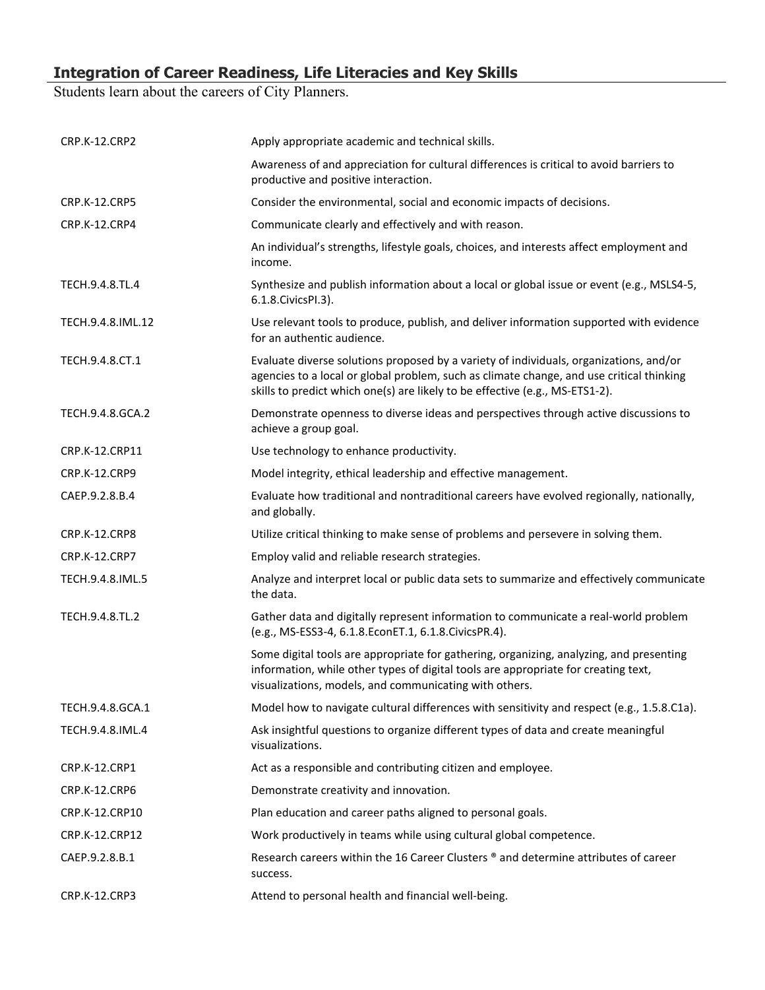#### **Integration of Career Readiness, Life Literacies and Key Skills**

Students learn about the careers of City Planners.

| CRP.K-12.CRP2        | Apply appropriate academic and technical skills.                                                                                                                                                                                                                   |
|----------------------|--------------------------------------------------------------------------------------------------------------------------------------------------------------------------------------------------------------------------------------------------------------------|
|                      | Awareness of and appreciation for cultural differences is critical to avoid barriers to<br>productive and positive interaction.                                                                                                                                    |
| <b>CRP.K-12.CRP5</b> | Consider the environmental, social and economic impacts of decisions.                                                                                                                                                                                              |
| CRP.K-12.CRP4        | Communicate clearly and effectively and with reason.                                                                                                                                                                                                               |
|                      | An individual's strengths, lifestyle goals, choices, and interests affect employment and<br>income.                                                                                                                                                                |
| TECH.9.4.8.TL.4      | Synthesize and publish information about a local or global issue or event (e.g., MSLS4-5,<br>6.1.8. Civics PI.3).                                                                                                                                                  |
| TECH.9.4.8.IML.12    | Use relevant tools to produce, publish, and deliver information supported with evidence<br>for an authentic audience.                                                                                                                                              |
| TECH.9.4.8.CT.1      | Evaluate diverse solutions proposed by a variety of individuals, organizations, and/or<br>agencies to a local or global problem, such as climate change, and use critical thinking<br>skills to predict which one(s) are likely to be effective (e.g., MS-ETS1-2). |
| TECH.9.4.8.GCA.2     | Demonstrate openness to diverse ideas and perspectives through active discussions to<br>achieve a group goal.                                                                                                                                                      |
| CRP.K-12.CRP11       | Use technology to enhance productivity.                                                                                                                                                                                                                            |
| CRP.K-12.CRP9        | Model integrity, ethical leadership and effective management.                                                                                                                                                                                                      |
| CAEP.9.2.8.B.4       | Evaluate how traditional and nontraditional careers have evolved regionally, nationally,<br>and globally.                                                                                                                                                          |
| CRP.K-12.CRP8        | Utilize critical thinking to make sense of problems and persevere in solving them.                                                                                                                                                                                 |
| <b>CRP.K-12.CRP7</b> | Employ valid and reliable research strategies.                                                                                                                                                                                                                     |
| TECH.9.4.8.IML.5     | Analyze and interpret local or public data sets to summarize and effectively communicate<br>the data.                                                                                                                                                              |
| TECH.9.4.8.TL.2      | Gather data and digitally represent information to communicate a real-world problem<br>(e.g., MS-ESS3-4, 6.1.8.EconET.1, 6.1.8.CivicsPR.4).                                                                                                                        |
|                      | Some digital tools are appropriate for gathering, organizing, analyzing, and presenting<br>information, while other types of digital tools are appropriate for creating text,<br>visualizations, models, and communicating with others.                            |
| TECH.9.4.8.GCA.1     | Model how to navigate cultural differences with sensitivity and respect (e.g., 1.5.8.C1a).                                                                                                                                                                         |
| TECH.9.4.8.IML.4     | Ask insightful questions to organize different types of data and create meaningful<br>visualizations.                                                                                                                                                              |
| CRP.K-12.CRP1        | Act as a responsible and contributing citizen and employee.                                                                                                                                                                                                        |
| CRP.K-12.CRP6        | Demonstrate creativity and innovation.                                                                                                                                                                                                                             |
| CRP.K-12.CRP10       | Plan education and career paths aligned to personal goals.                                                                                                                                                                                                         |
| CRP.K-12.CRP12       | Work productively in teams while using cultural global competence.                                                                                                                                                                                                 |
| CAEP.9.2.8.B.1       | Research careers within the 16 Career Clusters ® and determine attributes of career<br>success.                                                                                                                                                                    |
| CRP.K-12.CRP3        | Attend to personal health and financial well-being.                                                                                                                                                                                                                |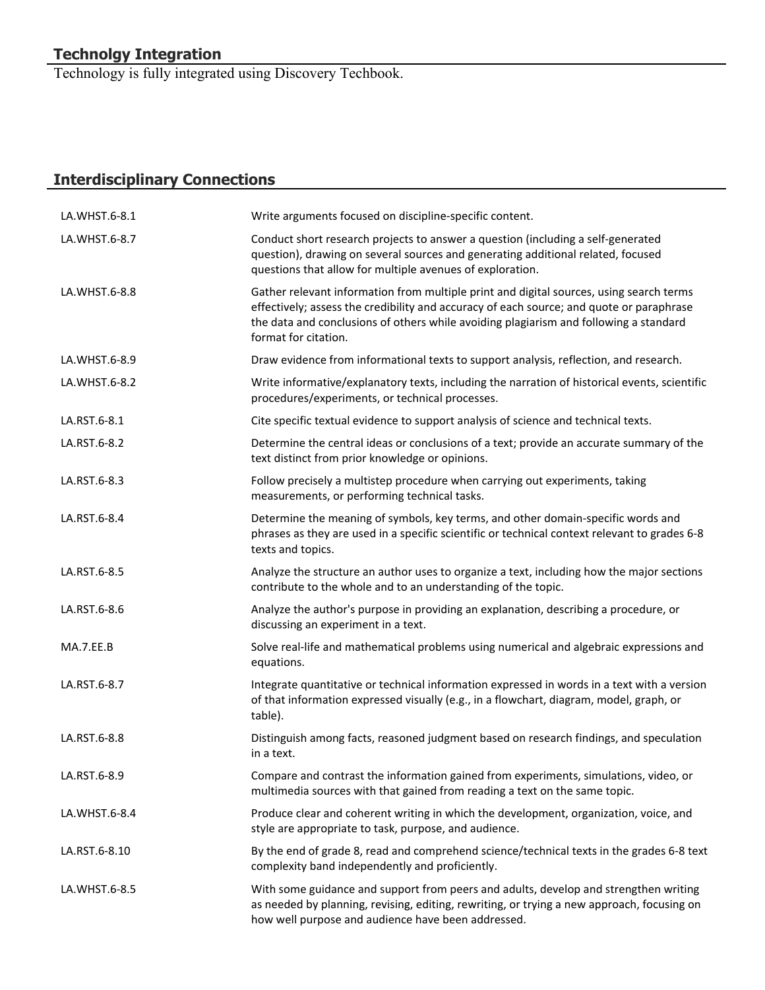# **Technolgy Integration**

Technology is fully integrated using Discovery Techbook.

# **Interdisciplinary Connections**

| LA.WHST.6-8.1 | Write arguments focused on discipline-specific content.                                                                                                                                                                                                                                              |  |
|---------------|------------------------------------------------------------------------------------------------------------------------------------------------------------------------------------------------------------------------------------------------------------------------------------------------------|--|
| LA.WHST.6-8.7 | Conduct short research projects to answer a question (including a self-generated<br>question), drawing on several sources and generating additional related, focused<br>questions that allow for multiple avenues of exploration.                                                                    |  |
| LA.WHST.6-8.8 | Gather relevant information from multiple print and digital sources, using search terms<br>effectively; assess the credibility and accuracy of each source; and quote or paraphrase<br>the data and conclusions of others while avoiding plagiarism and following a standard<br>format for citation. |  |
| LA.WHST.6-8.9 | Draw evidence from informational texts to support analysis, reflection, and research.                                                                                                                                                                                                                |  |
| LA.WHST.6-8.2 | Write informative/explanatory texts, including the narration of historical events, scientific<br>procedures/experiments, or technical processes.                                                                                                                                                     |  |
| LA.RST.6-8.1  | Cite specific textual evidence to support analysis of science and technical texts.                                                                                                                                                                                                                   |  |
| LA.RST.6-8.2  | Determine the central ideas or conclusions of a text; provide an accurate summary of the<br>text distinct from prior knowledge or opinions.                                                                                                                                                          |  |
| LA.RST.6-8.3  | Follow precisely a multistep procedure when carrying out experiments, taking<br>measurements, or performing technical tasks.                                                                                                                                                                         |  |
| LA.RST.6-8.4  | Determine the meaning of symbols, key terms, and other domain-specific words and<br>phrases as they are used in a specific scientific or technical context relevant to grades 6-8<br>texts and topics.                                                                                               |  |
| LA.RST.6-8.5  | Analyze the structure an author uses to organize a text, including how the major sections<br>contribute to the whole and to an understanding of the topic.                                                                                                                                           |  |
| LA.RST.6-8.6  | Analyze the author's purpose in providing an explanation, describing a procedure, or<br>discussing an experiment in a text.                                                                                                                                                                          |  |
| MA.7.EE.B     | Solve real-life and mathematical problems using numerical and algebraic expressions and<br>equations.                                                                                                                                                                                                |  |
| LA.RST.6-8.7  | Integrate quantitative or technical information expressed in words in a text with a version<br>of that information expressed visually (e.g., in a flowchart, diagram, model, graph, or<br>table).                                                                                                    |  |
| LA.RST.6-8.8  | Distinguish among facts, reasoned judgment based on research findings, and speculation<br>in a text.                                                                                                                                                                                                 |  |
| LA.RST.6-8.9  | Compare and contrast the information gained from experiments, simulations, video, or<br>multimedia sources with that gained from reading a text on the same topic.                                                                                                                                   |  |
| LA.WHST.6-8.4 | Produce clear and coherent writing in which the development, organization, voice, and<br>style are appropriate to task, purpose, and audience.                                                                                                                                                       |  |
| LA.RST.6-8.10 | By the end of grade 8, read and comprehend science/technical texts in the grades 6-8 text<br>complexity band independently and proficiently.                                                                                                                                                         |  |
| LA.WHST.6-8.5 | With some guidance and support from peers and adults, develop and strengthen writing<br>as needed by planning, revising, editing, rewriting, or trying a new approach, focusing on<br>how well purpose and audience have been addressed.                                                             |  |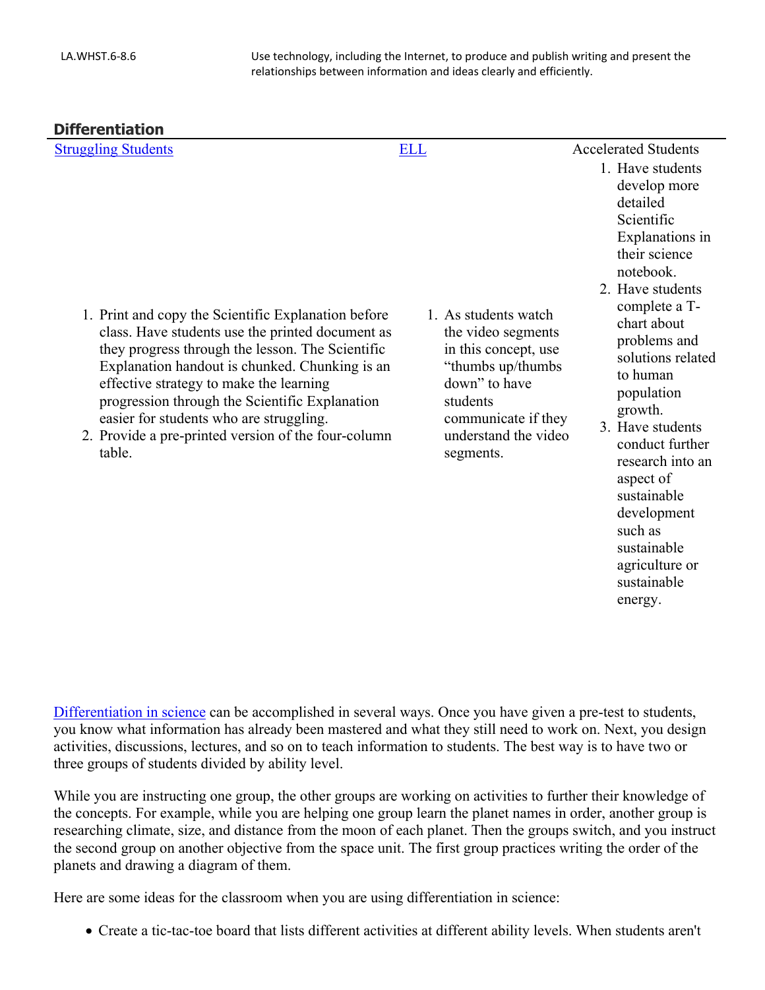**Differentiation**

| <b>Struggling Students</b>                                                                                                                                                                                                                                                                                                                                                                                             | <b>ELL</b>                                                                                                                                                                       | <b>Accelerated Students</b>                                                                                                                                                                                                                                                                                                                                                                                           |
|------------------------------------------------------------------------------------------------------------------------------------------------------------------------------------------------------------------------------------------------------------------------------------------------------------------------------------------------------------------------------------------------------------------------|----------------------------------------------------------------------------------------------------------------------------------------------------------------------------------|-----------------------------------------------------------------------------------------------------------------------------------------------------------------------------------------------------------------------------------------------------------------------------------------------------------------------------------------------------------------------------------------------------------------------|
| 1. Print and copy the Scientific Explanation before<br>class. Have students use the printed document as<br>they progress through the lesson. The Scientific<br>Explanation handout is chunked. Chunking is an<br>effective strategy to make the learning<br>progression through the Scientific Explanation<br>easier for students who are struggling.<br>2. Provide a pre-printed version of the four-column<br>table. | 1. As students watch<br>the video segments<br>in this concept, use<br>"thumbs up/thumbs<br>down" to have<br>students<br>communicate if they<br>understand the video<br>segments. | 1. Have students<br>develop more<br>detailed<br>Scientific<br>Explanations in<br>their science<br>notebook.<br>2. Have students<br>complete a T-<br>chart about<br>problems and<br>solutions related<br>to human<br>population<br>growth.<br>3. Have students<br>conduct further<br>research into an<br>aspect of<br>sustainable<br>development<br>such as<br>sustainable<br>agriculture or<br>sustainable<br>energy. |

[Differentiation in science](http://www.brighthubeducation.com/teaching-gifted-students/65181-differentiation-techniques-and-activities-in-the-classroom-for-gifted-students/) can be accomplished in several ways. Once you have given a pre-test to students, you know what information has already been mastered and what they still need to work on. Next, you design activities, discussions, lectures, and so on to teach information to students. The best way is to have two or three groups of students divided by ability level.

While you are instructing one group, the other groups are working on activities to further their knowledge of the concepts. For example, while you are helping one group learn the planet names in order, another group is researching climate, size, and distance from the moon of each planet. Then the groups switch, and you instruct the second group on another objective from the space unit. The first group practices writing the order of the planets and drawing a diagram of them.

Here are some ideas for the classroom when you are using differentiation in science:

Create a tic-tac-toe board that lists different activities at different ability levels. When students aren't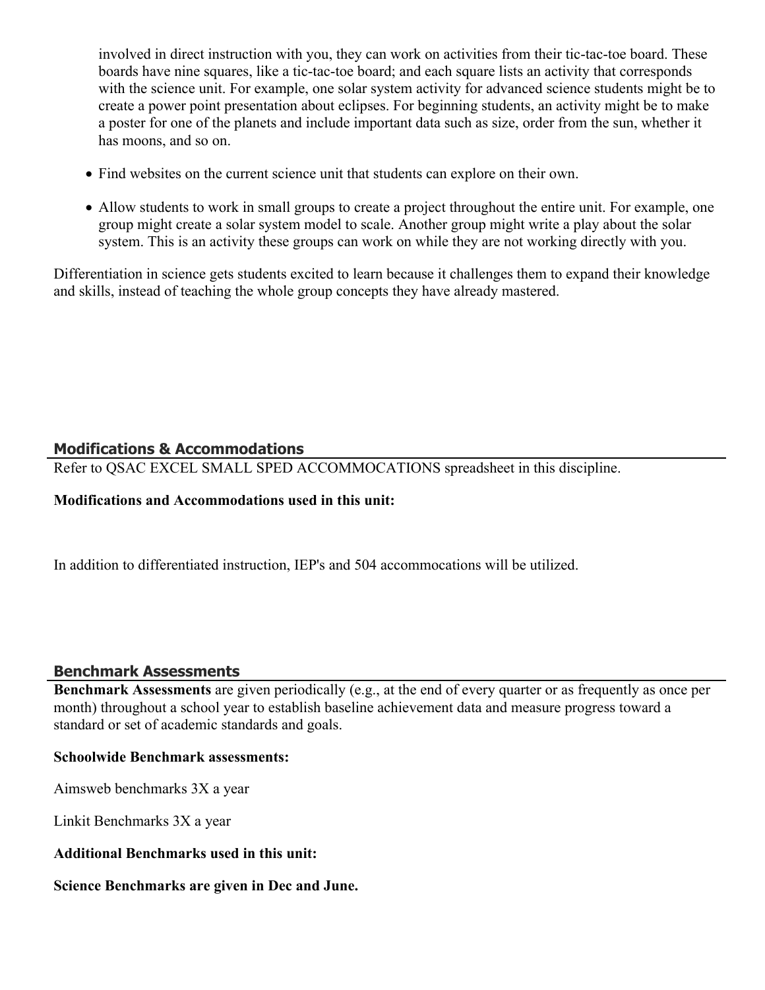involved in direct instruction with you, they can work on activities from their tic-tac-toe board. These boards have nine squares, like a tic-tac-toe board; and each square lists an activity that corresponds with the science unit. For example, one solar system activity for advanced science students might be to create a power point presentation about eclipses. For beginning students, an activity might be to make a poster for one of the planets and include important data such as size, order from the sun, whether it has moons, and so on.

- Find websites on the current science unit that students can explore on their own.
- Allow students to work in small groups to create a project throughout the entire unit. For example, one group might create a solar system model to scale. Another group might write a play about the solar system. This is an activity these groups can work on while they are not working directly with you.

Differentiation in science gets students excited to learn because it challenges them to expand their knowledge and skills, instead of teaching the whole group concepts they have already mastered.

#### **Modifications & Accommodations**

Refer to QSAC EXCEL SMALL SPED ACCOMMOCATIONS spreadsheet in this discipline.

#### **Modifications and Accommodations used in this unit:**

In addition to differentiated instruction, IEP's and 504 accommocations will be utilized.

#### **Benchmark Assessments**

**Benchmark Assessments** are given periodically (e.g., at the end of every quarter or as frequently as once per month) throughout a school year to establish baseline achievement data and measure progress toward a standard or set of academic standards and goals.

#### **Schoolwide Benchmark assessments:**

Aimsweb benchmarks 3X a year

Linkit Benchmarks 3X a year

#### **Additional Benchmarks used in this unit:**

**Science Benchmarks are given in Dec and June.**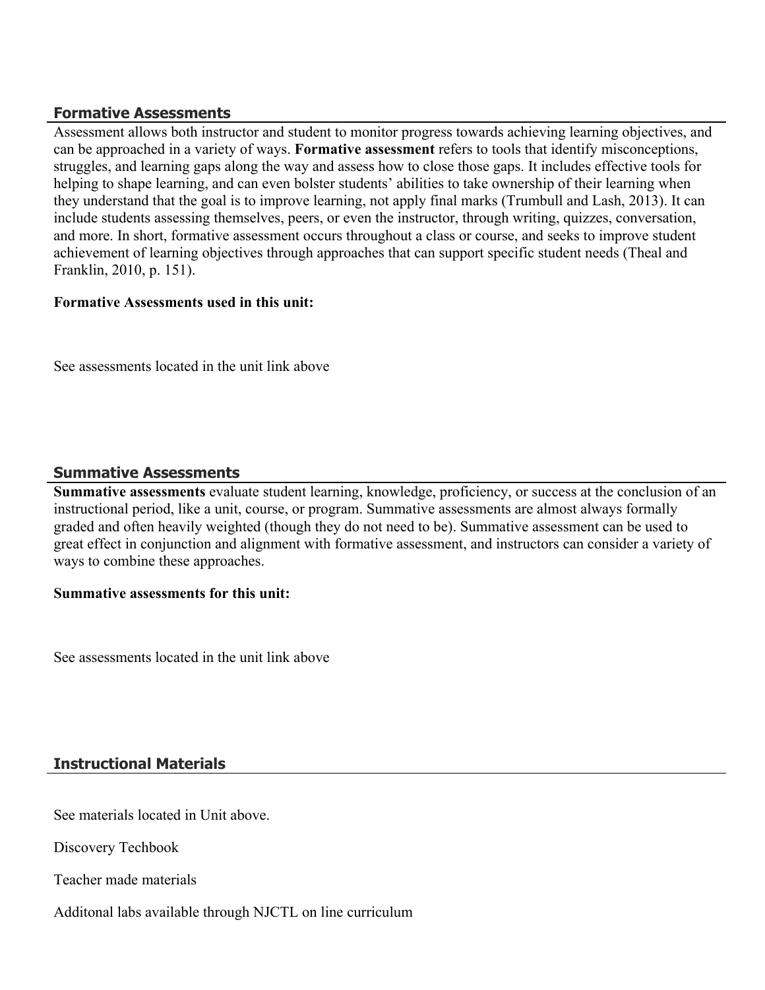#### **Formative Assessments**

Assessment allows both instructor and student to monitor progress towards achieving learning objectives, and can be approached in a variety of ways. **Formative assessment** refers to tools that identify misconceptions, struggles, and learning gaps along the way and assess how to close those gaps. It includes effective tools for helping to shape learning, and can even bolster students' abilities to take ownership of their learning when they understand that the goal is to improve learning, not apply final marks (Trumbull and Lash, 2013). It can include students assessing themselves, peers, or even the instructor, through writing, quizzes, conversation, and more. In short, formative assessment occurs throughout a class or course, and seeks to improve student achievement of learning objectives through approaches that can support specific student needs (Theal and Franklin, 2010, p. 151).

#### **Formative Assessments used in this unit:**

See assessments located in the unit link above

## **Summative Assessments**

**Summative assessments** evaluate student learning, knowledge, proficiency, or success at the conclusion of an instructional period, like a unit, course, or program. Summative assessments are almost always formally graded and often heavily weighted (though they do not need to be). Summative assessment can be used to great effect in conjunction and alignment with formative assessment, and instructors can consider a variety of ways to combine these approaches.

#### **Summative assessments for this unit:**

See assessments located in the unit link above

# **Instructional Materials**

See materials located in Unit above.

Discovery Techbook

Teacher made materials

Additonal labs available through NJCTL on line curriculum